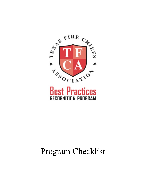

## **Best Practices RECOGNITION PROGRAM**

# Program Checklist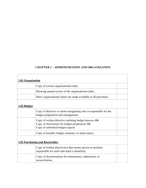## **CHAPTER 1 – ADMINISTRATION AND ORGANIZATION**

 $\overline{1}$ 

| 1.01 Organization |                                                                                                                                                |
|-------------------|------------------------------------------------------------------------------------------------------------------------------------------------|
|                   | Copy of current organizational chart,                                                                                                          |
|                   | Showing annual review of the organizational chart,                                                                                             |
|                   | Show organizational charts are made available to all personnel,                                                                                |
| 1.02 Budget       |                                                                                                                                                |
|                   | Copy of directive or memo designating who is responsible for the<br>budget preparation and management,                                         |
|                   | Copy of written directive outlining budget process, Or<br>Copy of instructions for budget preparation, Or<br>Copy of submitted budget request. |
|                   | Copy of monthly budget summary or status report,                                                                                               |
|                   | <b>1.03 Purchasing and Receivables</b>                                                                                                         |
|                   | Copy of written directive(s) that ensure person or position<br>responsible for each cash fund is identified,                                   |
|                   | Copy of documentation for transactions, submission, or<br>reconciliation,                                                                      |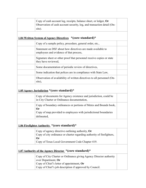| Copy of cash account log, receipts, balance sheet, or ledger, Or<br>Observation of cash account security, log, and transaction detail (On-<br>site).                                              |
|---------------------------------------------------------------------------------------------------------------------------------------------------------------------------------------------------|
| 1.04 Written System of Agency Directives *(core standard)*                                                                                                                                        |
| Copy of a sample policy, procedure, general order, etc.,                                                                                                                                          |
| Statement on DSF about how directives are made available to<br>employees and evidence of that process,                                                                                            |
| Signature sheet or other proof that personnel receive copies or state<br>they have reviewed,                                                                                                      |
| Some documentation of periodic review of directives,                                                                                                                                              |
| Some indication that polices are in compliance with State Law,                                                                                                                                    |
| Observation of availability of written directives to all personnel (On-<br>site),                                                                                                                 |
| 1.05 Agency Jurisdiction * (core standard)*                                                                                                                                                       |
| Copy of documents for Agency existence and jurisdiction, could be<br>in City Charter or Ordinance documentation,                                                                                  |
| Copy of boundary ordinances or portions of Metes and Bounds book,<br><b>Or</b><br>Copy of map provided to employees with jurisdictional boundaries<br>delineated,                                 |
| 1.06 Firefighter Authority * (core standard)*                                                                                                                                                     |
| Copy of agency directive outlining authority, Or<br>Copy of city ordinance or charter regarding authority of firefighters,<br><b>Or</b><br>Copy of Texas Local Government Code Chapter 419.       |
| 1.07 Authority of the Agency Director *(core standard)*                                                                                                                                           |
| Copy of City Charter or Ordinance giving Agency Director authority<br>over Department, Or<br>Copy of Chief's letter of appointment, Or<br>Copy of Chief's job description if approved by Council. |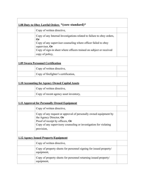| 1.08 Duty to Obey Lawful Orders *(core standard)* |                                                                                                                                                                                                                                                            |  |
|---------------------------------------------------|------------------------------------------------------------------------------------------------------------------------------------------------------------------------------------------------------------------------------------------------------------|--|
|                                                   | Copy of written directive,                                                                                                                                                                                                                                 |  |
|                                                   | Copy of any Internal Investigations related to failure to obey orders,<br>Or<br>Copy of any supervisor counseling where officer failed to obey<br>supervisor, Or<br>Copy of sign-in sheet where officers trained on subject or received<br>copy of policy, |  |
|                                                   | <b>1.09 Sworn Personnel Certification</b>                                                                                                                                                                                                                  |  |
|                                                   | Copy of written directive,                                                                                                                                                                                                                                 |  |
|                                                   | Copy of firefighter's certification,                                                                                                                                                                                                                       |  |
|                                                   | <b>1.10 Accounting for Agency Owned Capital Assets</b>                                                                                                                                                                                                     |  |
|                                                   | Copy of written directive,                                                                                                                                                                                                                                 |  |
|                                                   | Copy of recent agency asset inventory,                                                                                                                                                                                                                     |  |
|                                                   | <b>1.11 Approval for Personally Owned Equipment</b>                                                                                                                                                                                                        |  |
|                                                   | Copy of written directive,                                                                                                                                                                                                                                 |  |
|                                                   | Copy of any request or approval of personally owned equipment by<br>the Agency Director, Or<br>Proof of receipt by officers, Or<br>Copy of any supervisory counseling or investigation for violating<br>provision,                                         |  |
|                                                   | <b>1.12 Agency Issued Property/Equipment</b>                                                                                                                                                                                                               |  |
|                                                   | Copy of written directive,                                                                                                                                                                                                                                 |  |
|                                                   | Copy of property sheets for personnel signing for issued property/<br>equipment,                                                                                                                                                                           |  |
|                                                   | Copy of property sheets for personnel returning issued property/<br>equipment,                                                                                                                                                                             |  |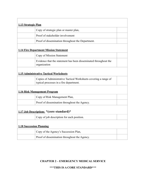| 1.13 Strategic Plan             |                                                                                                             |  |
|---------------------------------|-------------------------------------------------------------------------------------------------------------|--|
|                                 | Copy of strategic plan or master plan,                                                                      |  |
|                                 | Proof of stakeholder involvement                                                                            |  |
|                                 | Proof of dissemination throughout the Department.                                                           |  |
|                                 | <b>1.14 Fire Department Mission Statement</b>                                                               |  |
|                                 | Copy of Mission Statement                                                                                   |  |
|                                 | Evidence that the statement has been disseminated throughout the<br>organization                            |  |
|                                 | <b>1.15 Administrative Tactical Worksheets</b>                                                              |  |
|                                 | Copies of Administrative Tactical Worksheets covering a range of<br>typical processes in a fire department. |  |
|                                 | <b>1.16 Risk Management Program</b>                                                                         |  |
|                                 | Copy of Risk Management Plan,                                                                               |  |
|                                 | Proof of dissemination throughout the Agency.                                                               |  |
|                                 | 1.17 Job Descriptions * (core standard)*                                                                    |  |
|                                 | Copy of job description for each position.                                                                  |  |
| <b>1.18 Succession Planning</b> |                                                                                                             |  |
|                                 | Copy of the Agency's Succession Plan,                                                                       |  |
|                                 | Proof of dissemination throughout the Agency.                                                               |  |
|                                 |                                                                                                             |  |

## **CHAPTER 2 – EMERGENCY MEDICAL SERVICE**

## **\*\*\*THIS IS A CORE STANDARD\*\*\***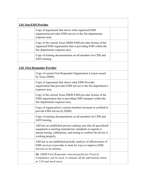| <b>2.01 Non-EMS Provider</b> |                                                                                                                                                                                                                        |  |
|------------------------------|------------------------------------------------------------------------------------------------------------------------------------------------------------------------------------------------------------------------|--|
|                              | Copy of Agreement that shows what organized EMS<br>organization provides EMS service to the fire departments<br>response area,                                                                                         |  |
|                              | Copy of the current Texas DSHS EMS provider license of the<br>organized EMS organization that is providing EMS within the<br>fire departments response area,                                                           |  |
|                              | Copy of training documentation on all members for CPR and<br>AED training.                                                                                                                                             |  |
|                              | 2.02 First Responder Provider                                                                                                                                                                                          |  |
|                              | Copy of current First Responder Organization License issued<br>by Texas DSHS,                                                                                                                                          |  |
|                              | Copy of Agreement that shows what EMS Provider<br>organization that provides EMS service to the fire department's<br>response area,                                                                                    |  |
|                              | Copy of the current Texas DSHS EMS provider license of the<br>EMS organization that is providing EMS transport within the<br>fire departments response area,                                                           |  |
|                              | Copy of organization's current members licensed or certified to<br>provide EMS service by DSHS,                                                                                                                        |  |
|                              | Copy of training documentation on all members for CPR and<br>AED training,                                                                                                                                             |  |
|                              | AHJ has an established process making sure that all specialized<br>equipment is meeting manufacture standards in regards to<br>annual testing, calibrations, and testing to confirm the device is<br>working properly, |  |
|                              | AHJ has as an established periodic analysis of effectiveness of<br>EMS services it provides to look for ways to improve EMS<br>services to its citizens,                                                               |  |
|                              | Or, DSHS First Responder renewal packet for Proof of<br>Compliance can be used; it contains all the information listed<br>in 2.02 and much more.                                                                       |  |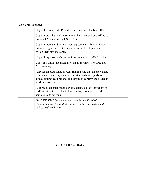| 2.03 EMS Provider |                                                                                                                                                                                                                        |  |
|-------------------|------------------------------------------------------------------------------------------------------------------------------------------------------------------------------------------------------------------------|--|
|                   | Copy of current EMS Provider License issued by Texas DSHS,                                                                                                                                                             |  |
|                   | Copy of organization's current members licensed or certified to<br>provide EMS service by DSHS, And                                                                                                                    |  |
|                   | Copy of mutual aid or inter-local agreement with other EMS<br>provider organizations that may assist the fire department<br>within their response area,                                                                |  |
|                   | Copy of organization's license to operate as an EMS Provider,                                                                                                                                                          |  |
|                   | Copy of training documentation on all members for CPR and<br>AED training,                                                                                                                                             |  |
|                   | AHJ has an established process making sure that all specialized<br>equipment is meeting manufacture standards in regards to<br>annual testing, calibrations, and testing to confirm the device is<br>working properly, |  |
|                   | AHJ has as an established periodic analysis of effectiveness of<br>EMS services it provides to look for ways to improve EMS<br>services to its citizens,                                                               |  |
|                   | Or, DSHS EMS Provider renewal packet for Proof of<br>Compliance can be used; it contains all the information listed<br>in 2.03 and much more.                                                                          |  |

 $\mathbf{r}$ 

### **CHAPTER 3 – TRAINING**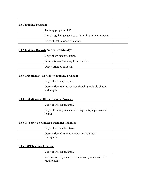| <b>3.01 Training Program</b>     |                                                                         |
|----------------------------------|-------------------------------------------------------------------------|
|                                  | Training program SOP.                                                   |
|                                  | List of regulating agencies with minimum requirements,                  |
|                                  | Copy of instructor certifications.                                      |
|                                  | 3.02 Training Records * (core standard)*                                |
|                                  | Copy of written procedure,                                              |
|                                  | Observation of Training files On-Site,                                  |
|                                  | Observation of EMS CE.                                                  |
|                                  | <b>3.03 Probationary Firefighter Training Program</b>                   |
|                                  | Copy of written program,                                                |
|                                  | Observation training records showing multiple phases<br>and length.     |
|                                  | <b>3.04 Probationary Officer Training Program</b>                       |
|                                  | Copy of written program,                                                |
|                                  | Copy of training manual showing multiple phases and<br>length.          |
|                                  | 3.05 In-Service Volunteer Firefighter Training                          |
|                                  | Copy of written directive,                                              |
|                                  | Observation of training records for Volunteer<br>Firefighters.          |
| <b>3.06 EMS Training Program</b> |                                                                         |
|                                  | Copy of written program,                                                |
|                                  | Verification of personnel to be in compliance with the<br>requirements. |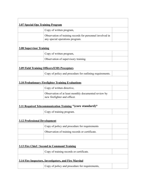| <b>3.07 Special Ops Training Program</b> |                                                                                              |  |
|------------------------------------------|----------------------------------------------------------------------------------------------|--|
|                                          | Copy of written program,                                                                     |  |
|                                          | Observation of training records for personnel involved in<br>any special operations program. |  |
| <b>3.08 Supervisor Training</b>          |                                                                                              |  |
|                                          | Copy of written program,                                                                     |  |
|                                          | Observation of supervisory training.                                                         |  |
|                                          | <b>3.09 Field Training Officers/EMS Preceptors</b>                                           |  |
|                                          | Copy of policy and procedure for outlining requirements.                                     |  |
|                                          | <b>3.10 Probationary Firefighter Training Evaluations</b>                                    |  |
|                                          | Copy of written directive,                                                                   |  |
|                                          | Observation of at least monthly documented review by<br>new firefighter and officer.         |  |
|                                          | 3.11 Required Telecommunication Training * (core standard)*                                  |  |
|                                          | Copy of training program.                                                                    |  |
| <b>3.12 Professional Development</b>     |                                                                                              |  |
|                                          | Copy of policy and procedure for requirements                                                |  |
|                                          | Observation of training records or certificate.                                              |  |
|                                          |                                                                                              |  |
|                                          | 3.13 Fire Chief / Second in Command Training                                                 |  |
|                                          | Copy of training records or certificate.                                                     |  |
|                                          | 3.14 Fire Inspectors, Investigators, and Fire Marshal                                        |  |
|                                          | Copy of policy and procedure for requirements,                                               |  |
|                                          |                                                                                              |  |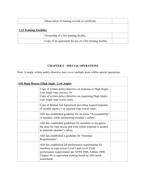|                                 | Observation of training records or certificate.           |  |
|---------------------------------|-----------------------------------------------------------|--|
| <b>3.15 Training Facilities</b> |                                                           |  |
|                                 | Ownership of a fire training facility,                    |  |
|                                 | Copy of an agreement for use of a fire training facility. |  |

## **CHAPTER 4 – SPECIAL OPERATIONS**

Note: A single written policy/directive may cover multiple areas within special operations.

 $\overline{\Gamma}$ 

| 4.01 Rope Rescue (High Angle / Low Angle) |                                                                                                                                                                                                                                         |  |
|-------------------------------------------|-----------------------------------------------------------------------------------------------------------------------------------------------------------------------------------------------------------------------------------------|--|
|                                           | Copy of written policy/directive on response to High Angle/<br>Low Angle rope rescues, Or<br>Copy of written policy/directive on requesting High Angle/<br>Low Angle rope rescue team,                                                  |  |
|                                           | Copy of Mutual Aid Agreement providing request/response<br>of another agency's or regional rope rescue team,                                                                                                                            |  |
|                                           | AHJ has established guideline for on-scene "Accountability"<br>of member, while maintaining member's safety,                                                                                                                            |  |
|                                           | AHJ has established guidelines for members to recognize<br>the need for rope rescue and what initial response is needed<br>to maintain member's safety,                                                                                 |  |
|                                           | AHJ has established a guideline for "Entrance"<br>Requirements",                                                                                                                                                                        |  |
|                                           | AHJ has established job performance requirements for<br>members in rope rescue Level I and Level II job<br>performance requirements per NFPA 1006, Edition 2008,<br>Chapter #6 or equivalent training based on AHJ needs<br>assessment, |  |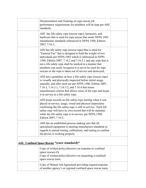| Documentation and Training on rope rescue job<br>performance requirements for members will be kept per AHJ<br>standards,                                                                                                                                                                                                                                                                                                             |  |
|--------------------------------------------------------------------------------------------------------------------------------------------------------------------------------------------------------------------------------------------------------------------------------------------------------------------------------------------------------------------------------------------------------------------------------------|--|
| AHJ has life safety rope (rescue rope), harnesses, and<br>hardware that is used for rope rescue that meets NFPA 1983<br>manufacture standards referenced in NFPA 1500, Edition<br>2007, 7.16.1,                                                                                                                                                                                                                                      |  |
| AHJ has life safety rope (rescue rope) that is rated for<br>"General Use" that is designed to hold the weight of two<br>individuals per NFPA 1983 which is referenced in NFPA<br>1500, Edition 2007, 7.16.2 and 7.16.2.1 and any rope that is<br>not a life safety rope shall be marked in a manner that<br>members can easily recognize it is not to be used for rope<br>rescues or the rope is taken out of service and destroyed, |  |
| AHJ has a guideline on how a life safety rope (rescue rope)<br>is visually and physically inspected before initial usage,<br>annually, and after each use per NFPA 1500, Edition 2007,<br>7.16.3, 7.16.3.1, 7.16.3.2, and 7.16.4 that meets<br>manufactures criteria that allows reuse of the rope and keeps<br>it in service as a life safety rope.                                                                                 |  |
| AHJ keeps records on life safety rope starting when it was<br>placed in-service, usage, visual and physical inspections<br>confirming the life safety rope is still in-service. Each life<br>safety rope will have its own record that will be maintain<br>while the life safety rope is in service, per NFPA 1500,<br>Edition 2007, 7.16.5,                                                                                         |  |
| AHJ has an established process making sure that all<br>specialized equipment is meeting manufacture standards in<br>regards to annual testing, calibrations, and testing to confirm<br>the device is working properly                                                                                                                                                                                                                |  |
| 4.02. Confined Space Rescue *(core standard)*                                                                                                                                                                                                                                                                                                                                                                                        |  |
| Copy of written policy/directive on response to confined<br>space rescues Or<br>Copy of written policy/directive on requesting a confined<br>space rescue team                                                                                                                                                                                                                                                                       |  |
| Copy of Mutual Aid Agreement providing request/response<br>of another agency's or regional confined space rescue team,                                                                                                                                                                                                                                                                                                               |  |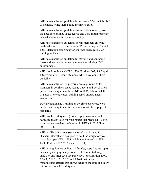| AHJ has established guideline for on-scene "Accountability"<br>of member, while maintaining member's safety.                                                                                                                                                                                                                                        |  |
|-----------------------------------------------------------------------------------------------------------------------------------------------------------------------------------------------------------------------------------------------------------------------------------------------------------------------------------------------------|--|
| AHJ has established guidelines for members to recognize<br>the need for confined space rescue and what initial response<br>is needed to maintain member's safety,                                                                                                                                                                                   |  |
| AHJ has established guidelines for its members entering<br>confined space environment with PPE including SCBA and<br>IDLH detection equipment for confined space rescue or<br>training incidents,                                                                                                                                                   |  |
| AHJ has established guideline for staffing and equipping<br>intervention crew to rescue other members during IDLH<br>environments,                                                                                                                                                                                                                  |  |
| AHJ should reference NFPA 1500, Edition 2007, 8.8 Rapid<br>Intervention for Rescue Members when developing their<br>guideline,                                                                                                                                                                                                                      |  |
| AHJ has established job performance requirements for<br>members in confined space rescue Level I and Level II job<br>performance requirements per NFPA 1006, Edition 2008,<br>Chapter #7 or equivalent training based on AHJ needs<br>assessment,                                                                                                   |  |
| Documentation and Training on confine space rescue job<br>performance requirements for members will be kept per AHJ<br>standards,                                                                                                                                                                                                                   |  |
| AHJ has life safety rope (rescue rope), harnesses, and<br>hardware that is used for rope rescue that meets NFPA 1983<br>manufacture standards referenced in NFPA 1500, Edition<br>2007, 7.16.1,                                                                                                                                                     |  |
| AHJ has life safety rope (rescue rope) that is rated for<br>"General Use" that is designed to hold the weight of two<br>individuals per NFPA 1983 which is referenced in NFPA<br>1500, Edition 2007, 7.16.2 and 7.16.2.1,                                                                                                                           |  |
| AHJ has a guideline on how a life safety rope (rescue rope)<br>is visually and physically inspected before initial usage,<br>annually, and after each use per NFPA 1500, Edition 2007,<br>7.16.3, 7.16.3.1, 7.16.3.2, and 7.16.4 that meets<br>manufactures criteria that allows reuse of the rope and keeps<br>it in service as a life safety rope |  |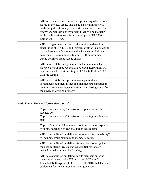| AHJ keeps records on life safety rope starting when it was<br>placed in-service, usage, visual and physical inspections<br>confirming the life safety rope is still in-service. Each life<br>safety rope will have its own record that will be maintain<br>while the life safety rope is in service, per NFPA 1500,<br>Edition 2007, 7.16.5, |  |
|----------------------------------------------------------------------------------------------------------------------------------------------------------------------------------------------------------------------------------------------------------------------------------------------------------------------------------------------|--|
| AHJ has a gas detector that has the minimum detection<br>capabilities of CO, LEL, and Oxygen levels with a guideline<br>that address manufacture maintained standards. This gas<br>detector will be used to identify an IDLH environment<br>during confined space rescue entries,                                                            |  |
| AHJ has an established guideline that all members that<br>maybe called upon to wear a SCBA or Air-Respirators will<br>have an annual fit test, meeting NFPA 1500, Edition 2007,<br>7.12 Fit Testing,                                                                                                                                         |  |
| AHJ has an established process making sure that all<br>specialized equipment is meeting manufacture standards in<br>regards to annual testing, calibrations, and testing to confirm<br>the device is working properly,                                                                                                                       |  |

## **4.03 Trench Rescue \*(core standard)\***

| Copy of written policy/directive on response to trench<br>rescues, Or<br>Copy of written policy/directive on requesting trench rescue<br>team,                                                                              |  |
|-----------------------------------------------------------------------------------------------------------------------------------------------------------------------------------------------------------------------------|--|
| Copy of Mutual Aid Agreement providing request/response<br>of another agency's or regional trench rescue team,                                                                                                              |  |
| AHJ has established guideline for on-scene "Accountability"<br>of member, while maintaining member's safety,                                                                                                                |  |
| AHJ has established guidelines for members to recognize<br>the need for trench rescue and what initial response is<br>needed to maintain member's safety,                                                                   |  |
| AHJ has established guidelines for its members entering<br>trench environment with PPE including SCBA and<br>Immediately Dangerous to Life or Health (IDLH) detection<br>equipment for trench rescue or training incidents, |  |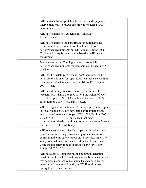| AHJ has established guideline for staffing and equipping<br>intervention crew to rescue other members during IDLH<br>environments,                                                                                                                                                                                                                   |  |
|------------------------------------------------------------------------------------------------------------------------------------------------------------------------------------------------------------------------------------------------------------------------------------------------------------------------------------------------------|--|
| AHJ has established a guideline for "Entrance<br>Requirements",                                                                                                                                                                                                                                                                                      |  |
| AHJ has established job performance requirements for<br>members in trench rescue Level I and Level II job<br>performance requirements per NFPA 1006, Edition 2008,<br>Chapter $# 8$ or equivalent training based on AHJ needs<br>assessment,                                                                                                         |  |
| Documentation and Training on trench rescue job<br>performance requirements for members will be kept per AHJ<br>standards,                                                                                                                                                                                                                           |  |
| AHJ has life safety rope (rescue rope), harnesses, and<br>hardware that is used for rope rescue that meets NFPA 1983<br>manufacture standards referenced in NFPA 1500, Edition<br>2007, 7.16.1,                                                                                                                                                      |  |
| AHJ has life safety rope (rescue rope) that is rated for<br>"General Use" that is designed to hold the weight of two<br>individuals per NFPA 1983 which is referenced in NFPA<br>1500, Edition 2007, 7.16.2 and 7.16.2.1,                                                                                                                            |  |
| AHJ has a guideline on how a life safety rope (rescue rope)<br>is visually and physically inspected before initial usage,<br>annually, and after each use per NFPA 1500, Edition 2007,<br>7.16.3, 7.16.3.1, 7.16.3.2, and 7.16.4 that meets<br>manufactures criteria that allows reuse of the rope and keeps<br>it in service as a life safety rope. |  |
| AHJ keeps records on life safety rope starting when it was<br>placed in-service, usage, visual and physical inspections<br>confirming the life safety rope is still in-service. Each life<br>safety rope will have its own record that will be maintain<br>while the life safety rope is in service, per NFPA 1500,<br>Edition 2007, 7.16.5,         |  |
| AHJ has a gas detector that has the minimum detection<br>capabilities of CO, LEL, and Oxygen levels with a guideline<br>that address manufacture maintained standards. This gas<br>detector will be used to identify an IDLH environment<br>during trench rescue entries                                                                             |  |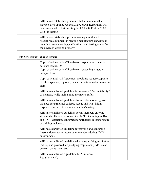|                                        | AHJ has an established guideline that all members that<br>maybe called upon to wear a SCBA or Air-Respirators will<br>have an annual fit test, meeting NFPA 1500, Edition 2007,<br>7.12 Fit Testing,                   |  |
|----------------------------------------|------------------------------------------------------------------------------------------------------------------------------------------------------------------------------------------------------------------------|--|
|                                        | AHJ has an established process making sure that all<br>specialized equipment is meeting manufacture standards in<br>regards to annual testing, calibrations, and testing to confirm<br>the device is working properly. |  |
| <b>4.04 Structural Collapse Rescue</b> |                                                                                                                                                                                                                        |  |
|                                        | Copy of written policy/directive on response to structural<br>collapse rescue, Or<br>Copy of written policy/directive on requesting structural<br>collapse team,                                                       |  |
|                                        | Copy of Mutual Aid Agreement providing request/response<br>of other agencies, regional, or state structural collapse rescue<br>team,                                                                                   |  |
|                                        | AHJ has established guideline for on-scene "Accountability"<br>of member, while maintaining member's safety,                                                                                                           |  |
|                                        | AHJ has established guidelines for members to recognize<br>the need for structural collapse rescue and what initial<br>response is needed to maintain member's safety,                                                 |  |
|                                        | AHJ has established guidelines for its members entering<br>structural collapse environment with PPE including SCBA<br>and IDLH detection equipment for structural collapse rescue<br>or training incidents,            |  |
|                                        | AHJ has established guideline for staffing and equipping<br>intervention crew to rescue other members during IDLH<br>environments,                                                                                     |  |
|                                        | AHJ has established guideline when air-purifying respirators<br>(APRs) and powered air-purifying respirators (PAPRs) can<br>be worn by its members,                                                                    |  |
|                                        | AHJ has established a guideline for "Entrance"<br>Requirements",                                                                                                                                                       |  |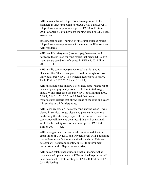| AHJ has established job performance requirements for<br>members in structural collapse rescue Level I and Level II<br>job performance requirements per NFPA 1006, Edition<br>2008, Chapter #9 or equivalent training based on AHJ needs<br>assessment,                                                                                               |  |
|------------------------------------------------------------------------------------------------------------------------------------------------------------------------------------------------------------------------------------------------------------------------------------------------------------------------------------------------------|--|
| Documentation and Training on structural collapse rescue<br>job performance requirements for members will be kept per<br>AHJ standards,                                                                                                                                                                                                              |  |
| AHJ has life safety rope (rescue rope), harnesses, and<br>hardware that is used for rope rescue that meets NFPA 1983<br>manufacture standards referenced in NFPA 1500, Edition<br>2007, 7.16.1,                                                                                                                                                      |  |
| AHJ has life safety rope (rescue rope) that is rated for<br>"General Use" that is designed to hold the weight of two<br>individuals per NFPA 1983 which is referenced in NFPA<br>1500, Edition 2007, 7.16.2 and 7.16.2.1,                                                                                                                            |  |
| AHJ has a guideline on how a life safety rope (rescue rope)<br>is visually and physically inspected before initial usage,<br>annually, and after each use per NFPA 1500, Edition 2007,<br>7.16.3, 7.16.3.1, 7.16.3.2, and 7.16.4 that meets<br>manufactures criteria that allows reuse of the rope and keeps<br>it in service as a life safety rope, |  |
| AHJ keeps records on life safety rope starting when it was<br>placed in-service, usage, visual and physical inspections<br>confirming the life safety rope is still in-service. Each life<br>safety rope will have its own record that will be maintain<br>while the life safety rope is in service, per NFPA 1500,<br>Edition 2007, 7.16.5,         |  |
| AHJ has a gas detector that has the minimum detection<br>capabilities of CO, LEL, and Oxygen levels with a guideline<br>that address manufacture maintained standards. This gas<br>detector will be used to identify an IDLH environment<br>during structural collapse rescue entries,                                                               |  |
| AHJ has an established guideline that all members that<br>maybe called upon to wear a SCBA or Air-Respirators will<br>have an annual fit test, meeting NFPA 1500, Edition 2007,<br>7.12 Fit Testing,                                                                                                                                                 |  |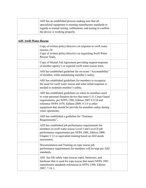|                                | AHJ has an established process making sure that all<br>specialized equipment is meeting manufacture standards in<br>regards to annual testing, calibrations, and testing to confirm<br>the device is working properly.                                                                                                  |  |
|--------------------------------|-------------------------------------------------------------------------------------------------------------------------------------------------------------------------------------------------------------------------------------------------------------------------------------------------------------------------|--|
| <b>4.05 Swift Water Rescue</b> |                                                                                                                                                                                                                                                                                                                         |  |
|                                | Copy of written policy/directive on response to swift water<br>rescues, Or<br>Copy of written policy/directive on requesting Swift Water<br>Rescue Team,                                                                                                                                                                |  |
|                                | Copy of Mutual Aid Agreement providing request/response<br>of another agency's or regional swift water rescue team,                                                                                                                                                                                                     |  |
|                                | AHJ has established guideline for on-scene "Accountability"<br>of member, while maintaining member's safety,                                                                                                                                                                                                            |  |
|                                | AHJ has established guidelines for members to recognize<br>the need for swift water rescue and what initial response is<br>needed to maintain member's safety,                                                                                                                                                          |  |
|                                | AHJ has established guidelines on when its members need<br>to wear personal flotation device that meet U.S. Coast Guard<br>requirements, per NFPA 1500, Edition 2007 8.5.24 and<br>reference NFPA 1670, Edition 2009, 9.3.4 to other<br>equipment that should be provide for members safety during<br>water operations, |  |
|                                | AHJ has established a guideline for "Entrance<br>Requirements",                                                                                                                                                                                                                                                         |  |
|                                | AHJ has established job performance requirements for<br>members in swift water rescue Level I and Level II job<br>performance requirements per NFPA 1006, Edition 2008,<br>Chapter $# 12$ or equivalent training based on AHJ needs<br>assessment,                                                                      |  |
|                                | Documentation and Training on rope rescue job<br>performance requirements for members will be kept per AHJ<br>standards,                                                                                                                                                                                                |  |
|                                | AHJ has life safety rope (rescue rope), harnesses, and<br>hardware that is used for rope rescue that meets NFPA 1983<br>manufacture standards referenced in NFPA 1500, Edition<br>2007, 7.16.1,                                                                                                                         |  |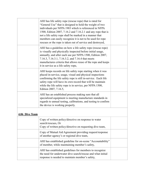|                | AHJ has life safety rope (rescue rope) that is rated for<br>"General Use" that is designed to hold the weight of two<br>individuals per NFPA 1983 which is referenced in NFPA<br>1500, Edition 2007, 7.16.2 and 7.16.2.1 and any rope that is<br>not a life safety rope shall be marked in a manner that<br>members can easily recognize it is not to be used for rope<br>rescues or the rope is taken out of service and destroyed, |  |
|----------------|--------------------------------------------------------------------------------------------------------------------------------------------------------------------------------------------------------------------------------------------------------------------------------------------------------------------------------------------------------------------------------------------------------------------------------------|--|
|                | AHJ has a guideline on how a life safety rope (rescue rope)<br>is visually and physically inspected before initial usage,<br>annually, and after each use per NFPA 1500, Edition 2007,<br>7.16.3, 7.16.3.1, 7.16.3.2, and 7.16.4 that meets<br>manufactures criteria that allows reuse of the rope and keeps<br>it in service as a life safety rope,                                                                                 |  |
|                | AHJ keeps records on life safety rope starting when it was<br>placed in-service, usage, visual and physical inspections<br>confirming the life safety rope is still in-service. Each life<br>safety rope will have its own record that will be maintain<br>while the life safety rope is in service, per NFPA 1500,<br>Edition 2007, 7.16.5,                                                                                         |  |
|                | AHJ has an established process making sure that all<br>specialized equipment is meeting manufacture standards in<br>regards to annual testing, calibrations, and testing to confirm<br>the device is working properly.                                                                                                                                                                                                               |  |
| 4.06 Dive Team |                                                                                                                                                                                                                                                                                                                                                                                                                                      |  |
|                | Copy of written policy/directive on response to water<br>search/rescues, Or<br>Copy of written policy/directive on requesting dive team,                                                                                                                                                                                                                                                                                             |  |
|                | Copy of Mutual Aid Agreement providing request/response<br>of another agency's or regional dive team,                                                                                                                                                                                                                                                                                                                                |  |
|                | AHJ has established guideline for on-scene "Accountability"<br>of member, while maintaining member's safety,                                                                                                                                                                                                                                                                                                                         |  |
|                | AHJ has established guidelines for members to recognize<br>the need for underwater dive search/rescue and what initial<br>response is needed to maintain member's safety,                                                                                                                                                                                                                                                            |  |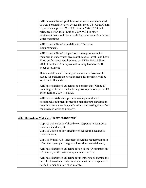| AHJ has established guidelines on when its members need<br>to wear personal flotation device that meet U.S. Coast Guard<br>requirements, per NFPA 1500, Edition 2007 8.5.24 and<br>reference NFPA 1670, Edition 2009, 9.3.4 to other<br>equipment that should be provide for members safety during<br>water operations |  |
|------------------------------------------------------------------------------------------------------------------------------------------------------------------------------------------------------------------------------------------------------------------------------------------------------------------------|--|
| AHJ has established a guideline for "Entrance"<br>Requirements",                                                                                                                                                                                                                                                       |  |
| AHJ has established job performance requirements for<br>members in underwater dive search/rescue Level I and Level<br>II job performance requirements per NFPA 1006, Edition<br>2008, Chapter #13 or equivalent training based on AHJ<br>needs assessment,                                                             |  |
| Documentation and Training on underwater dive search/<br>rescue job performance requirements for members will be<br>kept per AHJ standards,                                                                                                                                                                            |  |
| AHJ has established guidelines to confirm that "Grade E"<br>breathing air for dive tanks during dive operations per NFPA<br>1670, Edition 2009, 4.4.2.4.3,                                                                                                                                                             |  |
| AHJ has an established process making sure that all<br>specialized equipment is meeting manufacture standards in<br>regards to annual testing, calibrations, and testing to confirm<br>the device is working properly,                                                                                                 |  |
| 4.07 Hazardous Materials * (core standard)*                                                                                                                                                                                                                                                                            |  |
| Copy of written policy/directive on response to hazardous<br>materials incidents, Or<br>Copy of written policy/directive on requesting hazardous<br>materials team,                                                                                                                                                    |  |
| Copy of Mutual Aid Agreement providing request/response<br>of another agency's or regional hazardous material team,                                                                                                                                                                                                    |  |
| AHJ has established guideline for on-scene "Accountability"<br>of member, while maintaining member's safety,                                                                                                                                                                                                           |  |
| AHJ has established guideline for members to recognize the<br>need for hazard materials event and what initial response is<br>needed to maintain member's safety,                                                                                                                                                      |  |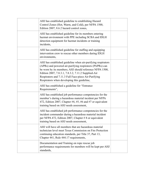| AHJ has established guideline to establishing Hazard<br>Control Zones (Hot, Warm, and Cold), per NFPA 1500,<br>Edition 2007, 8.6.2 hazard control zones,                                                                                                                                                                                          |  |
|---------------------------------------------------------------------------------------------------------------------------------------------------------------------------------------------------------------------------------------------------------------------------------------------------------------------------------------------------|--|
| AHJ has established guideline for its members entering<br>hazmat environment with PPE including SCBA and IDLH<br>detection equipment for hazmat incidents or training<br>incidents,                                                                                                                                                               |  |
| AHJ has established guideline for staffing and equipping<br>intervention crew to rescue other members during IDLH<br>environments,                                                                                                                                                                                                                |  |
| AHJ has established guideline when air-purifying respirators<br>(APRs) and powered air-purifying respirators (PAPRs) can<br>be worn by its members; AHJ should reference NFPA 1500,<br>Edition 2007, 7.8.3.1, 7.8.3.2, 7.11.2 Supplied-Air<br>Respirators and 7.11.3 Full Face-piece Air-Purifying<br>Respirators when developing this guideline, |  |
| AHJ has established a guideline for "Entrance<br>Requirements",                                                                                                                                                                                                                                                                                   |  |
| AHJ has established job performance competencies for the<br>member's during a hazardous material incident per NFPA<br>472, Edition 2007, Chapter #4, #5, #6 and #7 or equivalent<br>training based on AHJ needs assessment,                                                                                                                       |  |
| AHJ has established job performance competencies for the<br>incident commander during a hazardous material incident<br>per NFPA 472, Edition 2007, Chapter # 8 or equivalent<br>training based on AHJ needs assessment,                                                                                                                           |  |
| AHJ will have all members that are hazardous material<br>technician level meet Texas Commission on Fire Protection<br>continuing education standards, per Title 37, Part 13,<br>Chapter 441, Rule 444.17 requirements,                                                                                                                            |  |
| Documentation and Training on rope rescue job<br>performance requirements for members will be kept per AHJ<br>standards.                                                                                                                                                                                                                          |  |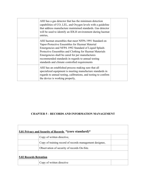| AHJ has a gas detector that has the minimum detection<br>capabilities of CO, LEL, and Oxygen levels with a guideline<br>that address manufacture maintained standards. Gas detector<br>will be used to identify an IDLH environment during hazmat<br>entries,                                                                                                                      |  |
|------------------------------------------------------------------------------------------------------------------------------------------------------------------------------------------------------------------------------------------------------------------------------------------------------------------------------------------------------------------------------------|--|
| AHJ hazmat ensembles that meet NFPA 1991 Standard on<br>Vapor-Protective Ensembles for Hazmat Material<br>Emergencies and NFPA 1992 Standard of Liquid Splash-<br>Protective Ensembles and Clothing for Hazmat Materials<br>Emergencies shall be cared for per manufactures<br>recommended standards in regards to annual testing<br>standards and climate controlled requirements |  |
| AHJ has an established process making sure that all<br>specialized equipment is meeting manufacture standards in<br>regards to annual testing, calibrations, and testing to confirm<br>the device is working properly,                                                                                                                                                             |  |

## **CHAPTER 5 – RECORDS AND INFORMATION MANAGEMENT**

| <u>5.01 Privacy and Security of Records</u> *(core standard)* |                                                         |  |
|---------------------------------------------------------------|---------------------------------------------------------|--|
|                                                               | Copy of written directive,                              |  |
|                                                               | Copy of training record of records management designee, |  |
|                                                               | Observation of security of records On-Site.             |  |
| <b>5.02 Records Retention</b>                                 |                                                         |  |
|                                                               | Copy of written directive                               |  |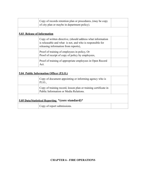|                                                   | Copy of records retention plan or procedures, (may be copy<br>of city plan or maybe in department policy).                                                       |  |
|---------------------------------------------------|------------------------------------------------------------------------------------------------------------------------------------------------------------------|--|
| 5.03 Release of Information                       |                                                                                                                                                                  |  |
|                                                   | Copy of written directive, (should address what information<br>is releasable and what is not, and who is responsible for<br>releasing information from reports), |  |
|                                                   | Proof of training of employees in policy, Or<br>Proof of receipt of copy of policy by employees,                                                                 |  |
|                                                   | Proof of training of appropriate employees in Open Record<br>Act.                                                                                                |  |
|                                                   | 5.04 Public Information Officer (P.I.O.)                                                                                                                         |  |
|                                                   | Copy of document appointing or informing agency who is<br>P.I.O.,                                                                                                |  |
|                                                   | Copy of training record, lesson plan or training certificate in<br>Public Information or Media Relations.                                                        |  |
| 5.05 Data/Statistical Reporting *(core standard)* |                                                                                                                                                                  |  |
|                                                   | Copy of report submissions.                                                                                                                                      |  |

## **CHAPTER 6 - FIRE OPERATIONS**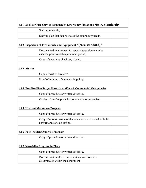| <u>6.01 24-Hour Fire Service Response to Emergency Situations</u> * (core standard)* |                                                                                                   |  |
|--------------------------------------------------------------------------------------|---------------------------------------------------------------------------------------------------|--|
|                                                                                      | Staffing schedule,                                                                                |  |
|                                                                                      | Staffing plan that demonstrates the community needs.                                              |  |
|                                                                                      | 6.02 Inspection of Fire Vehicle and Equipment * (core standard)*                                  |  |
|                                                                                      | Documented requirement for apparatus/equipment to be<br>checked prior to each operational period, |  |
|                                                                                      | Copy of apparatus checklist, if used.                                                             |  |
| 6.03 Alarms                                                                          |                                                                                                   |  |
|                                                                                      | Copy of written directive,                                                                        |  |
|                                                                                      | Proof of training of members in policy.                                                           |  |
|                                                                                      | 6.04 Pre-Fire Plan Target Hazards and/or All Commercial Occupancies                               |  |
|                                                                                      | Copy of procedure or written directive,                                                           |  |
|                                                                                      | Copies of pre-fire plans for commercial occupancies.                                              |  |
|                                                                                      | <b>6.05 Hydrant Maintance Program</b>                                                             |  |
|                                                                                      | Copy of procedure or written directive,                                                           |  |
|                                                                                      | Copy of or observation of documentation associated with the<br>performance of said testing,       |  |
| <b>6.06 Post-Incident Analysis Program</b>                                           |                                                                                                   |  |
|                                                                                      | Copy of procedure or written directive.                                                           |  |
|                                                                                      | 6.07 Near-Miss Program in Place                                                                   |  |
|                                                                                      | Copy of procedure or written directive,                                                           |  |
|                                                                                      | Documentation of near-miss reviews and how it is<br>disseminated within the department.           |  |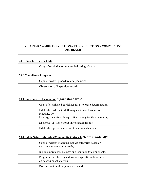## **CHAPTER 7 – FIRE PREVENTION – RISK REDUCTION – COMMUNITY OUTREACH**

 $\overline{\phantom{a}}$ 

| 7.01 Fire / Life Safety Code   |                                                                                                                                       |  |
|--------------------------------|---------------------------------------------------------------------------------------------------------------------------------------|--|
|                                | Copy of resolution or minutes indicating adoption.                                                                                    |  |
| <b>7.02 Compliance Program</b> |                                                                                                                                       |  |
|                                | Copy of written procedure or agreements,                                                                                              |  |
|                                | Observation of inspection records.                                                                                                    |  |
|                                | 7.03 Fire Cause Determination *(core standard)*                                                                                       |  |
|                                | Copy of established guidelines for Fire cause determination,                                                                          |  |
|                                | Established adequate staff assigned to meet inspection<br>schedule, Or<br>Have agreements with a qualified agency for these services, |  |
|                                | Data base or files of past investigation results,                                                                                     |  |
|                                | Established periodic review of determined causes.                                                                                     |  |
|                                | 7.04 Public Safety Education/Community Outreach *(core standard)*                                                                     |  |
|                                | Copy of written programs include categories based on<br>department/community needs,                                                   |  |
|                                | Include individual, business and community components,                                                                                |  |
|                                | Programs must be targeted towards specific audiences based<br>on needs/impact analysis,                                               |  |
|                                | Documentation of programs delivered,                                                                                                  |  |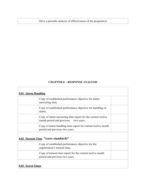|  |  |  | Have a periodic analysis of effectiveness of the program(s), |  |
|--|--|--|--------------------------------------------------------------|--|
|--|--|--|--------------------------------------------------------------|--|

#### **CHAPTER 8 – RESPONSE ANALYSIS**

| 8.01 Alarm Handling      |                                                                                                       |  |
|--------------------------|-------------------------------------------------------------------------------------------------------|--|
|                          | Copy of established performance objective for alarm<br>answering time,                                |  |
|                          | Copy of established performance objective for handling of<br>alarm,                                   |  |
|                          | Copy of alarm answering time report for the current twelve<br>month period and previous<br>two years, |  |
|                          | Copy of alarm handling time report for current twelve month<br>period and previous two years.         |  |
|                          | 8.02 Turnout Time *(core standard)*                                                                   |  |
|                          | Copy of established performance objective for the<br>organization's turnout time,                     |  |
|                          | Copy of turnout time report for the current twelve month<br>period and previous two years.            |  |
| <b>8.03 Travel Times</b> |                                                                                                       |  |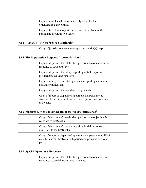| Copy of established performance objective for the<br>organization's travel time,                                                      |  |
|---------------------------------------------------------------------------------------------------------------------------------------|--|
| Copy of travel time report for the current twelve month<br>period and previous two years,                                             |  |
| 8.04 Response Districts *(core standard)*                                                                                             |  |
| Copy of jurisdictions response/reporting district(s) map.                                                                             |  |
| 8.05 Fire Suppression Response * (core standard)*                                                                                     |  |
| Copy of department's established performance objectives for<br>response to structure fires,                                           |  |
| Copy of department's policy regarding initial response<br>assignments for structure fires,                                            |  |
| Copy of intergovernmental agreements regarding automatic<br>aid and/or mutual aid,                                                    |  |
| Copy of department's box alarm assignments,                                                                                           |  |
| Copy of report of dispatched apparatus and personnel to<br>structure fires for current twelve month period and previous<br>two years. |  |
| 8.06 Emergency Medical Service Response *(core standard)*                                                                             |  |
| Copy of department's established performance objective for<br>response to EMS calls,                                                  |  |
| Copy of department's policy regarding initial response<br>assignments for EMS calls,                                                  |  |
| Copy of report of dispatched apparatus and personnel to EMS<br>calls for current twelve month period and previous two year<br>period. |  |
| <b>8.07 Special Operations Response</b>                                                                                               |  |
| Copy of department's established performance objective for<br>response to special operations incidents,                               |  |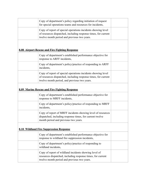| Copy of department's policy regarding initiation of request<br>for special operations teams and resources for incidents,                                                       |  |
|--------------------------------------------------------------------------------------------------------------------------------------------------------------------------------|--|
| Copy of report of special operations incidents showing level<br>of resources dispatched, including response times, for current<br>twelve month period and previous two years.  |  |
| 8.08 Airport Rescue and Fire Fighting Response                                                                                                                                 |  |
| Copy of department's established performance objective for<br>response to ARFF incidents,                                                                                      |  |
| Copy of department's policy/practice of responding to ARFF<br>incidents,                                                                                                       |  |
| Copy of report of special operations incidents showing level<br>of resources dispatched, including response times, for current<br>twelve month period, and previous two years. |  |
| 8.09 Marine Rescue and Fire Fighting Response                                                                                                                                  |  |
| Copy of department's established performance objective for<br>response to MRFF incidents,                                                                                      |  |
| Copy of department's policy/practice of responding to MRFF<br>incidents,                                                                                                       |  |
| Copy of report of MRFF incidents showing level of resources<br>dispatched, including response times, for current twelve<br>month period and previous two years.                |  |
| <b>8.10 Wildland Fire Suppression Response</b>                                                                                                                                 |  |
| Copy of department's established performance objective for<br>response to wildland fire suppression incidents,                                                                 |  |
| Copy of department's policy/practice of responding to<br>wildland incidents,                                                                                                   |  |
| Copy of report of wildland incidents showing level of<br>resources dispatched, including response times, for current<br>twelve month period and previous two years.            |  |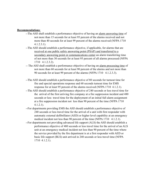#### **Recommendations**:

- --The AHJ shall establish a performance objective of having an alarm answering time of not more than 15 seconds for at least 95 percent of the alarms received and not more than 40 seconds for at least 99 percent of the alarms received (NFPA 1710 4.1.2.3.1).
- --The AHJ should establish a performance objective, if applicable, for alarms that are received at one public safety answering point (PSAP) and transferred to a secondary answering point or communications center an alarm transferring time of not more than 30 seconds for at least 95 percent of all alarms processed (NFPA 1710 4.1.2.3.2).
- -- The AHJ shall establish a performance objective of having an alarm processing time of not more than 60 seconds for at least 90 percent of the alarms and not more than 90 seconds for at least 99 percent of the alarms (NFPA 1710 4.1.2.3.3).
- --The AHJ should establish a performance objective of 80 seconds for turnout time for fire and special operations response and 60 seconds turnout time for EMS response for at least 95 percent of the alarms received (NFPA 1710 4.1.2.1).
- --The AHJ should establish a performance objective of 240 seconds or less travel time for the arrival of the first arriving fire company at a fire suppression incident and 480 seconds or less travel time for the deployment of an initial full alarm assignment at a fire suppression incident not less than 90 percent of the time (NFPA 1710 4.1.2.1).
- --For departments providing EMS the AHJ should establish a performance objective of 240 seconds or less travel time for the arrival of a unit with first responder with automatic external defibrillator (AED) or higher level capability at an emergency medical incident not less than 90 percent of the time (NFPA 1710 4.1.2.1).
- --For departments not providing advanced life support (ALS) the AHJ should establish a performance objective of 480 seconds or less travel time for the arrival of an ALS unit at an emergency medical incident not less than 90 percent of the time where the service provided by the fire department is at a first responder with AED or basic life support (BLS) unit arrived in 240 seconds or less travel time (NFPA 1710 4.1.2.1).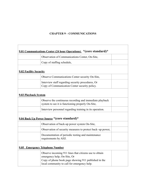### **CHAPTER 9 – COMMUNICATIONS**

 $\overline{\phantom{a}}$ 

 $\Gamma$ 

| 9.01 Communications Center (24 hour Operations) *(core standard)* |                                                                                                                                                                                              |  |
|-------------------------------------------------------------------|----------------------------------------------------------------------------------------------------------------------------------------------------------------------------------------------|--|
|                                                                   | Observation of Communications Center, On-Site,                                                                                                                                               |  |
|                                                                   | Copy of staffing schedule,                                                                                                                                                                   |  |
| <b>9.02 Facility Security</b>                                     |                                                                                                                                                                                              |  |
|                                                                   | Observe Communications Center security On-Site,                                                                                                                                              |  |
|                                                                   | Interview staff regarding security procedures, Or<br>Copy of Communication Center security policy.                                                                                           |  |
| <b>9.03 Playback System</b>                                       |                                                                                                                                                                                              |  |
|                                                                   | Observe the continuous recording and immediate playback<br>system to see it is functioning properly On-Site,                                                                                 |  |
|                                                                   | Interview personnel regarding training in its operation.                                                                                                                                     |  |
|                                                                   | 9.04 Back Up Power Source * (core standard)*                                                                                                                                                 |  |
|                                                                   | Observation of back-up power system On-Site,                                                                                                                                                 |  |
|                                                                   | Observation of security measures to protect back–up power,                                                                                                                                   |  |
|                                                                   | Documentation of periodic testing and maintenance<br>requirements by AHJ.                                                                                                                    |  |
|                                                                   | 9.05 Emergency Telephone Number                                                                                                                                                              |  |
|                                                                   | Observe incoming 911 lines that citizens use to obtain<br>emergency help, On-Site, Or<br>Copy of phone book page showing 911 published in the<br>local community to call for emergency help. |  |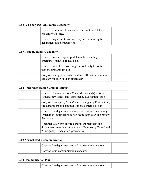| 9.06 24-hour Two-Way Radio Capability      |                                                                                                                                                       |  |
|--------------------------------------------|-------------------------------------------------------------------------------------------------------------------------------------------------------|--|
|                                            | Observe communication area to confirm it has 24-hour<br>capability On-Site,                                                                           |  |
|                                            | Observe dispatcher to confirm they are monitoring fire.<br>department radio frequencies.                                                              |  |
| 9.07 Portable Radio Availability           |                                                                                                                                                       |  |
|                                            | Observe proper usage of portable radio including<br>emergency features, if available,                                                                 |  |
|                                            | Observe portable radios being checked daily to confirm<br>they are prepared for use,                                                                  |  |
|                                            | Copy of radio policy established by AHJ that has a unique<br>call sign for each on duty firefighter.                                                  |  |
| <b>9.08 Emergency Radio Communications</b> |                                                                                                                                                       |  |
|                                            | Observe Communications Center dispatcher(s) activate<br>"Emergency Tones" and "Emergency Evacuation" tone,                                            |  |
|                                            | Copy of "Emergency Tones" and "Emergency Evacuation",<br>fire department and communications centers policies,                                         |  |
|                                            | Observe fire department members activating "Emergency<br>Evacuation" notification for on scene activation and review<br>the policy,                   |  |
|                                            | Documentation that all fire department members and<br>dispatchers are trained annually on "Emergency Tones" and<br>"Emergency Evacuation" procedures. |  |
| <b>9.09 Normal Radio Communications</b>    |                                                                                                                                                       |  |
|                                            | Observe fire department normal radio communications,                                                                                                  |  |
|                                            | Copy of radio communication standards.                                                                                                                |  |
| <b>9.10 Communication Plan</b>             |                                                                                                                                                       |  |
|                                            | Observe fire department normal radio communications,                                                                                                  |  |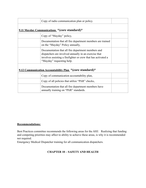| Copy of radio communication plan or policy.                                                                                                                                                               |  |
|-----------------------------------------------------------------------------------------------------------------------------------------------------------------------------------------------------------|--|
| 9.11 Mayday Communications *(core standard)*                                                                                                                                                              |  |
| Copy of "Mayday" policy,                                                                                                                                                                                  |  |
| Documentation that all fire department members are trained<br>on the "Mayday" Policy annually,                                                                                                            |  |
| Documentation that all fire department members and<br>dispatchers are involved annually in an exercise that<br>involves assisting a firefighter or crew that has activated a<br>"Mayday" requesting help. |  |
| 9.12 Communication Accountability Plan *(core standard)*                                                                                                                                                  |  |
| Copy of communication accountability plan,                                                                                                                                                                |  |
| Copy of all policies that utilize "PAR" checks,                                                                                                                                                           |  |
| Documentation that all fire department members have<br>annually training on "PAR" standards.                                                                                                              |  |

#### **Recommendations:**

Best Practices committee recommends the following areas for the AHJ. Realizing that funding and competing priorities may affect to ability to achieve these areas, is why it is recommended not required.

Emergency Medical Dispatcher training for all communication dispatchers.

### **CHAPTER 10 – SAFETY AND HEALTH**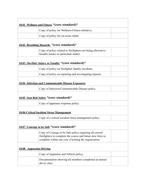| 10.01 Wellness and Fitness *(core standard)* |                                                                                                                                                                                 |  |
|----------------------------------------------|---------------------------------------------------------------------------------------------------------------------------------------------------------------------------------|--|
|                                              | Copy of policy for Wellness-Fitness initiative,                                                                                                                                 |  |
|                                              | Copy of policy for on-scene rehab.                                                                                                                                              |  |
|                                              | 10.02 Breathing Hazards *(core standard)*                                                                                                                                       |  |
|                                              | Copy of policy related to firefighters not being allowed to<br>breathe smoke or particulate matter.                                                                             |  |
|                                              | 10.03 On-Duty Injury or Fatality * (core standard)*                                                                                                                             |  |
|                                              | Copy of policy on firefighter fatality incidents,                                                                                                                               |  |
|                                              | Copy of policy on reporting and investigating injuries.                                                                                                                         |  |
|                                              | <b>10.04 Infection and Communicable Disease Exposures</b>                                                                                                                       |  |
|                                              | Copy of Infection/Communicable Disease policy.                                                                                                                                  |  |
| 10.05 Seat Belt Safety * (core standard)*    |                                                                                                                                                                                 |  |
|                                              | Copy of apparatus response policy.                                                                                                                                              |  |
|                                              | <b>10.06 Critical Incident Stress Management</b>                                                                                                                                |  |
|                                              | Copy of a critical incident stress management policy.                                                                                                                           |  |
|                                              | 10.07 Courage to be Safe *(core standard)*                                                                                                                                      |  |
|                                              | Copy of Courage to be Safe policy requiring all current<br>firefighters to complete the course and future new hires to<br>complete within one year of joining the organization. |  |
| 10.08 Apparatus Driving                      |                                                                                                                                                                                 |  |
|                                              | Copy of Apparatus and Vehicle policy,                                                                                                                                           |  |
|                                              | Documentation showing all members completed an annual<br>driver class.                                                                                                          |  |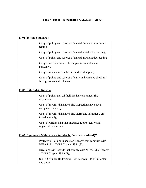## **CHAPTER 11 – RESOURCES MANAGEMENT**

| 11.01 Testing Standards   |                                                                                                 |
|---------------------------|-------------------------------------------------------------------------------------------------|
|                           | Copy of policy and records of annual fire apparatus pump<br>testing,                            |
|                           | Copy of policy and records of annual aerial ladder testing,                                     |
|                           | Copy of policy and records of annual ground ladder testing,                                     |
|                           | Copy of certifications of fire apparatus maintenance<br>personnel,                              |
|                           | Copy of replacement schedule and written plan,                                                  |
|                           | Copy of policy and records of daily maintenance check for<br>fire apparatus and vehicles.       |
| 11.02 Life Safety Systems |                                                                                                 |
|                           | Copy of policy that all facilities have an annual fire<br>inspection,                           |
|                           | Copy of records that shows fire inspections have been<br>completed annually,                    |
|                           | Copy of records that shows fire alarm and sprinkler were<br>tested annually,                    |
|                           | Copy of written plan that discusses future facility and<br>organizational needs.                |
|                           | 11.03 Equipment Maintenance Standards *(core standard)*                                         |
|                           | Protective Clothing Inspection Records that complies with<br>NFPA 1851 – TCFP Chapter 435.1(3), |
|                           | Breathing Air Records that comply with NFPA 1989 Records<br>$-$ TCFP Chapter 435.3 (4),         |
|                           | SCBA Cylinder Hydrostatic Test Records - TCFP Chapter<br>$435.3(5)$ ,                           |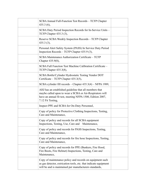| SCBA Annual Full-Function Test Records - TCFP Chapter<br>$435.3(6)$ ,                                                                                                                                |  |
|------------------------------------------------------------------------------------------------------------------------------------------------------------------------------------------------------|--|
| SCBA Duty Period Inspection Records for In-Service Units –<br>TCFP Chapter 435.3 (3),                                                                                                                |  |
| Reserve SCBA Weekly Inspection Records - TCFP Chapter<br>$435.3(3)$ ,                                                                                                                                |  |
| Personal Alert Safety System (PASS) In Service Duty Period<br>Inspection Records – TCFP Chapter 435.9 (3),                                                                                           |  |
| SCBA Maintenance Authorization Certificate – TCFP<br>Chapter 435.9(8),                                                                                                                               |  |
| SCBA Full Function Test Machine Calibration Certificate -<br>TCFP Chapter 435.3(8),                                                                                                                  |  |
| SCBA Bottle/Cylinder Hydrostatic Testing Vendor DOT<br>Certificate - TCFP Chapter 435.3(5),                                                                                                          |  |
| SCBA cylinder fill records – Chapter 435.3(4) – NFPA 1989,                                                                                                                                           |  |
| AHJ has an established guideline that all members that<br>maybe called upon to wear a SCBA or Air-Respirators will<br>have an annual fit test, meeting NFPA 1500, Edition 2007,<br>7.12 Fit Testing, |  |
| Inspect PPE and SCBA for On-Duty Personnel,                                                                                                                                                          |  |
| Copy of policy for Protective Clothing Inspections, Testing,<br>Care and Maintenance,                                                                                                                |  |
| Copy of policy and records for all SCBA equipment<br>Inspections, Testing, Use, Care and<br>Maintenance,                                                                                             |  |
| Copy of policy and records for PASS Inspections, Testing,<br>Care and Maintenance,                                                                                                                   |  |
| Copy of policy and records for fire hose Inspections, Testing,<br>Care and Maintenance,                                                                                                              |  |
| Copy of policy and records for PPE (Bunkers, Fire Hood,<br>Fire Boots, Fire Helmet) Inspections, Testing, Care and<br>Maintenance,                                                                   |  |
| Copy of maintenance policy and records on equipment such<br>as gas detector, extrication tools, etc. that indicate equipment<br>will be and is maintained per manufacturers standards,               |  |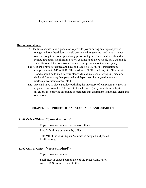#### **Recommendations:**

- ---All facilities should have a generator to provide power during any type of power outage. All overhead doors should be attached to generator and have a manual override to get the door open during power outages. These facilities should have remote fire alarm monitoring. Station cooking appliances should have automatic shut offs switch that is activated when crews get toned out an emergency.
- --The AHJ shall have developed and have in place a policy on PPE inspection in compliance with NFPA 1851. The washing of PPE (Bunkers, Fire Gloves, Fire Hood) should be to manufacture standards and in a separate washing machine (industrial extractor) than personal and department items (station towels, uniforms, workout clothes, etc.).
- --The AHJ shall have in place a policy outlining the inventory of equipment assigned to apparatus and vehicles. The intent of a scheduled (daily, weekly, monthly) inventory is to provide assurance to members that equipment is in place, clean and operational.

### **CHAPTER 12 – PROFESSIONAL STANDARDS AND CONDUCT**

| 12.01 Code of Ethics *(core standard)* |                                                                                                    |  |  |  |
|----------------------------------------|----------------------------------------------------------------------------------------------------|--|--|--|
|                                        | Copy of written directive or Code of Ethics,                                                       |  |  |  |
|                                        | Proof of training or receipt by officers,                                                          |  |  |  |
|                                        | Title VII of the Civil Rights Act must be adopted and posted<br>in all stations.                   |  |  |  |
| 12.02 Oath of Office *(core standard)* |                                                                                                    |  |  |  |
|                                        | Copy of written directive,                                                                         |  |  |  |
|                                        | Shall meet or exceed compliance of the Texas Constitution<br>Article 16 Section 1: Oath of Office. |  |  |  |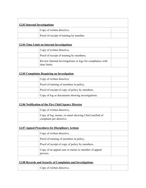| <b>12.03 Internal Investigations</b>                        |                                                                                   |  |  |  |  |
|-------------------------------------------------------------|-----------------------------------------------------------------------------------|--|--|--|--|
|                                                             | Copy of written directive,                                                        |  |  |  |  |
|                                                             | Proof of receipt of training by member.                                           |  |  |  |  |
|                                                             | <b>12.04 Time Limit on Internal Investigations</b>                                |  |  |  |  |
|                                                             | Copy of written directive,                                                        |  |  |  |  |
|                                                             | Proof of receipt of training by members,                                          |  |  |  |  |
|                                                             | Review Internal Investigations or logs for compliance with<br>time limits.        |  |  |  |  |
| <b>12.05 Complaints Requiring an Investigation</b>          |                                                                                   |  |  |  |  |
|                                                             | Copy of written directive,                                                        |  |  |  |  |
|                                                             | Proof of training of members in policy,                                           |  |  |  |  |
|                                                             | Proof of receipt of copy of policy by members,                                    |  |  |  |  |
|                                                             | Copy of log or documents showing investigations.                                  |  |  |  |  |
| 12.06 Notification of the Fire Chief/Agency Director        |                                                                                   |  |  |  |  |
|                                                             | Copy of written directive,                                                        |  |  |  |  |
|                                                             | Copy of log, memo, or email showing Chief notified of<br>complaint per directive. |  |  |  |  |
| <b>12.07 Appeal Procedures for Disciplinary Actions</b>     |                                                                                   |  |  |  |  |
|                                                             | Copy of written directive,                                                        |  |  |  |  |
|                                                             | Proof of training of members in policy,                                           |  |  |  |  |
|                                                             | Proof of receipt of copy of policy by members,                                    |  |  |  |  |
|                                                             | Copy of an appeal case or memo to member of appeal<br>process.                    |  |  |  |  |
| 12.08 Records and Security of Complaints and Investigations |                                                                                   |  |  |  |  |
|                                                             | Copy of written directive,                                                        |  |  |  |  |
|                                                             |                                                                                   |  |  |  |  |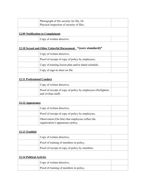|                                   | Photograph of file security for file, Or<br>Physical inspection of security of files. |  |
|-----------------------------------|---------------------------------------------------------------------------------------|--|
|                                   | <b>12.09 Notification to Complainant</b>                                              |  |
|                                   | Copy of written directive.                                                            |  |
|                                   | 12.10 Sexual and Other Unlawful Harassment *(core standard)*                          |  |
|                                   | Copy of written directive,                                                            |  |
|                                   | Proof of receipt of copy of policy by employees,                                      |  |
|                                   | Copy of training lesson plan and/or dated schedule,                                   |  |
|                                   | Copy of sign-in sheet on file.                                                        |  |
| <b>12.11 Professional Conduct</b> |                                                                                       |  |
|                                   | Copy of written directive,                                                            |  |
|                                   | Proof of receipt of copy of policy by employees (firefighters<br>and civilian staff). |  |
| 12.12 Appearance                  |                                                                                       |  |
|                                   | Copy of written directive,                                                            |  |
|                                   | Proof of receipt of copy of policy by employees,                                      |  |
|                                   | Observation (On-Site) that employees reflect the<br>organization's appearance policy. |  |
| 12.13 Truthful                    |                                                                                       |  |
|                                   | Copy of written directive,                                                            |  |
|                                   | Proof of training of members in policy,                                               |  |
|                                   | Proof of receipt of copy of policy by members.                                        |  |
| <b>12.14 Political Activity</b>   |                                                                                       |  |
|                                   | Copy of written directive,                                                            |  |
|                                   | Proof of training of members in policy,                                               |  |
|                                   |                                                                                       |  |